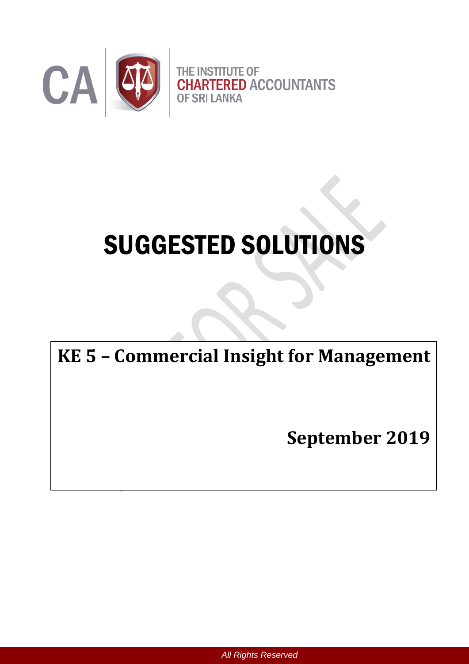

# SUGGESTED SOLUTIONS

## **KE 5 – Commercial Insight for Management**

**September 2019**

*All Rights Reserved*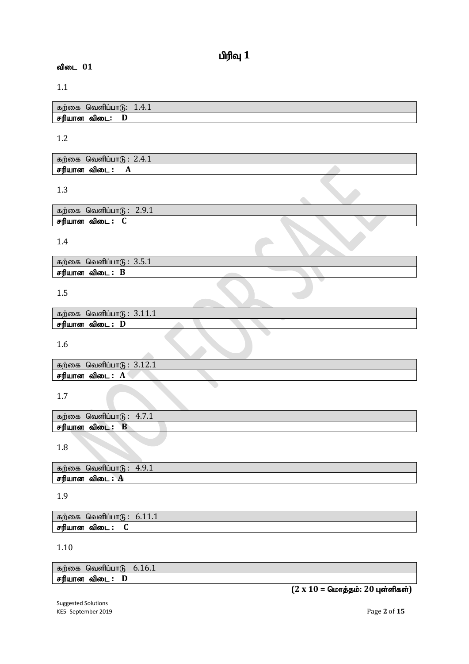1.1

| கற்கை வெளிப்பாடு: | 1.4.1 |
|-------------------|-------|
| சரியான விடை:      |       |

#### 1.2

| $-2.4.$<br>கற்கை<br>ு - டிவெளிப்பாட்ட |  |
|---------------------------------------|--|
| பான<br>சரிι<br>ഖഌட<br>A               |  |

1.3

| கற்கை<br>்வெளிப்பட | $\Omega$ $\Omega$ $\Lambda$<br>ч<br><i>L.J.</i> I |  |  |
|--------------------|---------------------------------------------------|--|--|
| சரியான<br>ഖിത∟     |                                                   |  |  |

 $\triangle$ 

#### 1.4

| 3.5.1<br>வெளிப்பாடு :<br>கற்கை |  |
|--------------------------------|--|
| சரியான<br>விடை                 |  |
|                                |  |

1.5

| வெளிப்பாடு :<br>கற்கை |  |
|-----------------------|--|
| சரியான<br>ഖിത∟<br>IJ  |  |
|                       |  |

1.6

| வெளிப்பாடு<br>கற்கை | $\overline{A}$ $\overline{A}$<br>$\pm 2.1$ |  |
|---------------------|--------------------------------------------|--|
| சரியான<br>விடை<br>A |                                            |  |

1.7

| கற்கை  | வெளிபபா(ห்      | $\mathbf{r}$<br>4.7.1 |  |
|--------|-----------------|-----------------------|--|
| சரியான | <br>விடை .<br>D |                       |  |
|        |                 |                       |  |

1.8

| ுகை<br>கா<br>1061161111<br>. | $\Omega$<br>$\Delta$<br>エ・ノ・エ |
|------------------------------|-------------------------------|
| $\mathbf{A}$<br>பான<br>ഖിത∟  |                               |

1.9

கற்கை வெளிப்பா $6: 6.11.1$ rupahd tpil **: C**

1.10

| கற்கை வெளிப்பாடு $6.16.1$ |  |
|---------------------------|--|
| சரியான விடை : D           |  |

 $(2 \times 10 =$  மொத்தம்: 20 புள்ளிகள்)

Suggested Solutions KE5- September 2019 Page **2** of **15**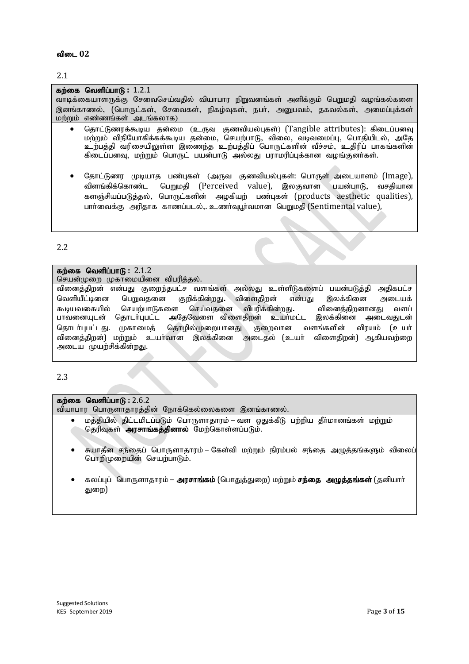வியாபார பொருளாதாரத்தின் நோக்கெல்லைகளை இனங்காணல்.

தெரிவுகள் **அாசாங்கக்கினால்** மேற்கொள்ளப்படும்.

பொறிமுறையின் செயற்பாடும்.

சுயாதீன சந்தைப் பொருளாதாரம் – கேள்வி மற்றும் நிரம்பல் சந்தை அழுத்தங்களும் விலைப்

மக்கியில் கிட்டமிடப்படும் பொருளாகாாம் – வள கைக்கீடு பற்றிய கீர்மானங்கள் மற்றும்

கலப்புப் பொருளாதாரம் – **அரசாங்கம்** (பொதுத்துறை) மற்றும் **சந்தை அழுத்தங்கள்** (தனியாா் களை)

பாவனையுடன் தொடர்புபட்ட அதேவேளை விளைதிறன் உயர்மட்ட அடைய முயற்சிக்கின்றது.

#### கற்கை வெளிப்பாடு: 2.1.2

கற்கை வெளிப்பாடு : 2.6.2

செயன்முறை முகாமையினை விபரித்தல்.

வினைத்திறன் என்பது குறைந்தபட்ச வளங்கள் அல்லது உள்ளீடுகளைப் பயன்படுத்தி அதிகபட்ச வெளியீட்டினை பெறுவகனை குறிக்கின்றது. விளைகிறன் என்பது இலக்கினை அடையக் கூடியவகையில் செயற்பாடுகளை செய்வதனை விபரிக்கின்றது. வினைத்திறனானது வளப்<br>பாவனையுடன் தொடர்புபட்ட அதேவேளை விளைதிறன் உயர்மட்ட இலக்கினை அடைவதுடன் தொடா்புபட்டது. முகாமைத் தொழில்முறையானது குறைவான வளங்களின் விரயம் (உயா் வினைத்திறன்) மற்றும் உயர்வான இலக்கினை அடைதல் (உயர் விளைதிறன்) ஆகியவற்றை

கிடைப்பனவு, மற்றும் பொருட் பயன்பாடு அல்லது பராமரிப்புக்கான வழங்குனர்கள்.

தோட்டுணர முடியாத பண்புகள் (அருவ குணவியல்புகள்: பொருள் அடையாளம் (Image), விளங்கிக்கொண்ட பெறுமதி (Perceived value), இலகுவான பயன்பாடு, வசதியான களஞ்சியப்படுத்தல், பொருட்களின் அழகியற் பண்புகள் (products aesthetic qualities), பார்வைக்கு அரிதாக காணப்படல்.. உணர்வுபர்வமான பெறுமதி (Sentimental value),

கற்கை வெளிப்பாடு : 1.2.1 வாடிக்கையாளருக்கு சேவைசெய்வதில் வியாபார நிறுவனங்கள் அளிக்கும் பெறுமதி வழங்கல்களை இனங்காணல், (பொருட்கள், சேவைகள், நிகழ்வுகள், நபர், அனுபவம், தகவல்கள், அமைப்புக்கள்  $\n *L* \n *m* \n *m* \n *m* \n *m* \n *m* \n *m* \n *m* \n *m* \n *m* \n *m* \n *m* \n *m* \n *m* \n *m* \n *m* \n *m* \n *m* \n *m* \n *m* \n *m* \n *m* \n *m* \n *m* \n$ 

தொட்டுணரக்கூடிய தன்மை (உருவ குணவியல்புகள்) (Tangible attributes): கிடைப்பனவு மற்றும் விநியோகிக்கக்கூடிய தன்மை, செயற்பாடு, விலை, வடிவமைப்பு, பொதியிடல், அதே உற்பத்தி வரிசையிலுள்ள இணைந்த உற்பத்திப் பொருட்களின் வீச்சம், உதிரிப் பாகங்களின் |

#### விடை 02

2.1

2.2

2.3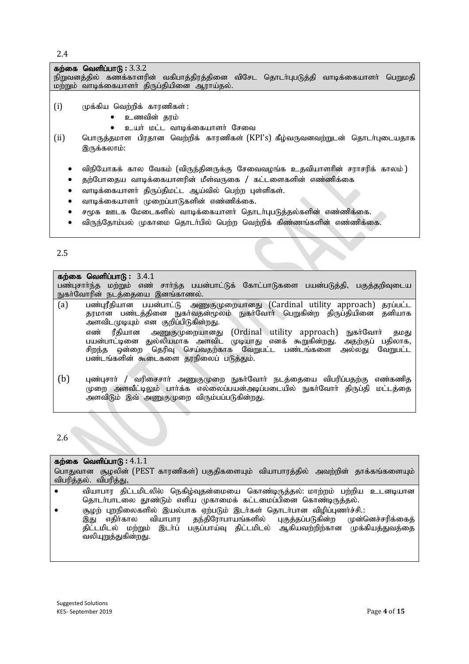2.4

**கற்கை வெளிப்பாடு :** 3.3.2 நிறுவனத்தில் கணக்காளரின் வகிபாத்திரத்தினை விசேட தொடர்புபடுத்தி வாடிக்கையாளர் பெறுமதி .<br>மற்றும் வாடிக்கையாளா் திருப்தியினை ஆராய்தல்.  $(i)$  முக்கிய வெற்றிக் காரணிகள் : உணவின் தரம் உயர் மட்ட வாடிக்கையாளர் சேவை (ii) பொருத்தமாள பிரதான வெற்றிக் காரணிகள் (KPI's) கீழ்வருவனவற்றுடன் தொடர்புடையதாக இருக்கலாம்: விநியோகக் கால வேகம் (விருந்தினருக்கு சேவைவழங்க உதவியாளரின் சராசரிக் காலம் ) தற்போதைய வாடிக்கையாளரின் மீள்வருகை / கட்டளைகளின் எண்ணிக்கை வாடிக்கையாளா் திருப்திமட்ட ஆய்வில் பெற்ற புள்ளிகள். வாடிக்கையாளர் முறைப்பாடுகளின் எண்ணிக்கை. சமூக ஊடக மேடைகளில் வாடிக்கையாளர் தொடர்புபடுத்தல்களின் எண்ணிக்கை. விருந்தோம்பல் முகாமை தொடர்பில் பெற்ற வெற்றிக் கிண்ணங்களின் எண்ணிக்கை.

2.5

**கற்கை வெளிப்பாடு : 3.4.1** பண்புசார்ந்த மற்றும் எண் சார்ந்த பயன்பாட்டுக் கோட்பாடுகளை பயன்படுத்தி, பகுத்தறிவுடைய நுகர்வோரின் நடத்தையை இனங்காணல்.

- (a) பண்புரீதியான பயன்பாட்டு அணுகுமுறையானது (Cardinal utility approach) தரப்பட்ட தரமான பண்டத்தினை நுகாவதன்மூலம் நுகா்வோா் பெறுகின்ற திருப்தியினை தனியாக அளவிடமுடியும் என குறிப்பிடுகின்றது. எண் ரீதியான அணுகுமுறையானது (Ordinal utility approach) நுகர்வோர் தமது பயன்பாட்டினை துல்லியமாக அளவிட முடியாது எனக் கூறுகின்றது. அதற்குப் பதிலாக, சிறந்த ஒன்றை தெரிவு செய்வதற்காக வேறுபட்ட பண்டங்களை அல்லது வேறுபட்ட பண்டங்களின் கூடைகளை தரநிலைப் படுத்தும்.
- $(b)$  புண்புசார் / வரிசைசார் அணுகுமுறை நுகர்வோர் நடத்தையை விபரிப்பதற்கு எண்கணித முறை அளவீட்டிலும் பார்க்க எல்லைப்பயன்அடிப்படையில் நுகர்வோர் திருப்தி மட்டத்தை அளவிடும் இவ் அணுகுமுறை விரும்பப்படுகின்றது.

2.6

#### கற்கை வெளிப்பாடு :  $4.1.1$

பொதுவான சூழலின் (PEST காரணிகள்) பகுதிகளையும் வியாபாரத்தில் அவற்றின் தாக்கங்களையும் விபரிக்கல். விபரிக்கு.  $\bullet$  வியாபார திட்டமிடலில் நெகிழ்வுதன்மையை கொண்டிருத்தல்: மாற்றம் பற்றிய உடனடியான தொடா்பாடலை தூண்டும் எளிய முகாமைக் கட்டமைப்பினை கொண்டிருத்தல்.

 #ow; Gwepiyfspy ; ,ay;ghf Vw;gLk; ,lh;fs ; njhlh;ghd tpopg;Gzh;r;rp.: தந்திரோபாயங்களில் திட்டமிடல் மற்றும் இடா்ப் பகுப்பாய்வு திட்டமிடல் ஆகியவற்றிற்கான முக்கியத்துவத்தை வலியுறுத்துகின்றது.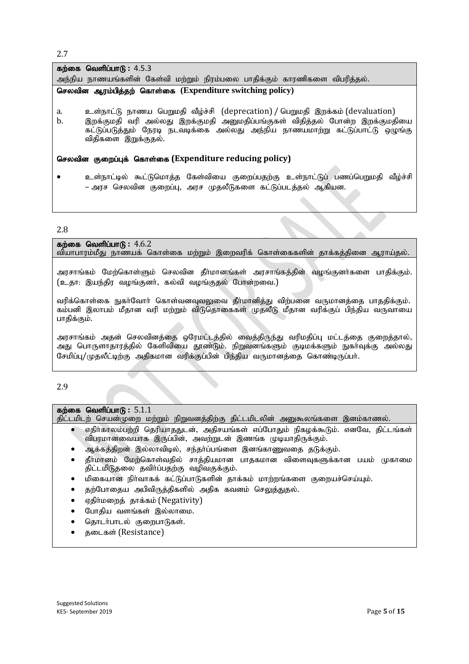2.7

#### **கற்கை வெளிப்பாடு : 4.5.3** அந்நிய நாணயங்களின் கேள்வி மற்றும் நிரம்பலை பாதிக்கும் காரணிகளை விபரித்தல்.

#### **செலவின ஆரம்பித்தற் கொள்கை (Expenditure switching policy)**

- a. உள்நாட்டு நாணய பெறுமதி வீழ்ச்சி (deprecation) / பெறுமதி இறக்கம் (devaluation)
- b. இறக்குமதி வரி அல்லது இறக்குமதி அனுமதிப்பங்குகள் விதித்தல் போன்ற இறக்குமதியை கட்டுப்படுத்தும் நேரடி நடவடிக்கை அல்லது அந்நிய நாணயமாற்று கட்டுப்பாட்டு ஒழுங்கு விதிகளை இறுக்குதல்.

#### செலவின குறைப்புக் கொள்கை (Expenditure reducing policy)

உள்நாட்டில் கூட்டுமொத்த கேள்வியை குறைப்பதற்கு உள்நாட்டுப் பணப்பெறுமதி வீழ்ச்சி – அரச செலவின குறைப்பு, அரச முதலீடுகளை கட்டுப்படத்தல் ஆகியன.

#### 2.8

கற்கை வெளிப்பாடு :  $4.6.2$ வியாபாரம்மீது நாணயக் கொள்கை மற்றும் இறைவரிக் கொள்கைகளின் தாக்கத்தினை ஆராய்தல். அரசாங்கம் மேற்கொள்ளும் செலவின தீர்மானங்கள் அரசாங்கத்தின் வழங்குனர்களை பாதிக்கும்.

(உதா: இயந்திர வழங்குனர், கல்வி வழங்குதல் போன்றவை.)

வரிக்கொள்கை நுகா்வோா் கொள்வனவுவலுவை தீா்மானித்து விற்பனை வருமானத்தை பாததிக்கும். கம்பனி இலாபம் மீதான வரி மற்றும் விடுதொகைகள் முதலீடு மீதான வரிக்குப் பிந்திய வருவாயை பாகிக்கும்.

அரசாங்கம் அதன் செலவினத்தை ஒரேமட்டத்தில் வைத்திருந்து வரிமதிப்பு மட்டத்தை குறைத்தால், அது பொருளாதாரத்தில் கேளிவியை தூண்டும். நிறுவனங்களும் குடிமக்களும் நுகாவுக்கு அல்லது சேமிப்பு/முதலீட்டிற்கு அதிகமான வரிக்குப்பின் பிந்திய வருமானத்தை கொண்டிருப்பா்.

2.9

#### கற்கை வெளிப்பாடு: 5.1.1

திட்டமிடற் செயன்முறை மற்றும் நிறுவனத்திற்கு திட்டமிடலின் அனுகூலங்களை இனம்காணல்.

- எதிர்காலம்பற்றி தெரியாகதுடன், அதிசயங்கள் எப்போதும் நிகழக்கூடும். எனவே, திட்டங்கள் விபரமானவையாக இருப்பின், அவற்றுடன் இணங்க முடியாதிருக்கும்.
- அக்கத்திறன் இல்லாவிடில், சந்தர்ப்பங்ளை இனங்காணுவதை தடுக்கும்.
- தீர்மானம் மேற்கொள்வதில் சாத்தியமான பாதகமான விளைவுகளுக்கான பயம் முகாமை திட்டமிடுதலை தவிர்ப்பதற்கு வழிவகுக்கும்.
- $\bullet$  மிகையான நிர்வாகக் கட்டுப்பாடுகளின் தாக்கம் மாற்றங்களை குறையச்செய்யும்.
- தற்போதைய அபிவிருத்திகளில் அதிக கவனம் செலுத்துதல்.
- ஏதிர்மறைத் தாக்கம் (Negativity)
- போதிய வளங்கள் இல்லாமை.
- தொடர்பாடல் குறைபாடுகள்.
- தடைகள் (Resistance)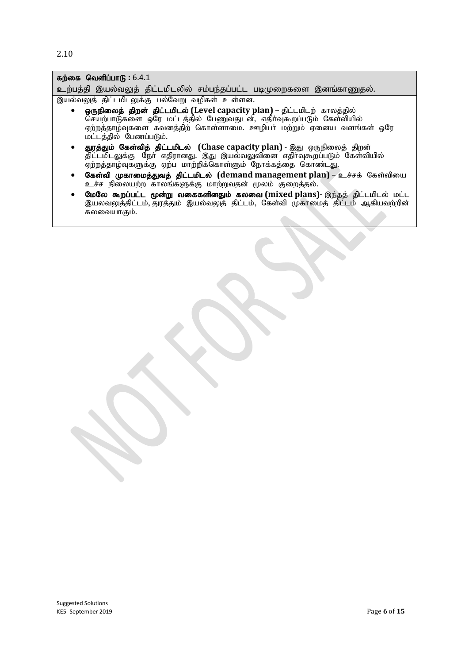2.10

| கற்கை வெளிப்பாடு: $6.4.1$                                                                                                                                                                                                                          |
|----------------------------------------------------------------------------------------------------------------------------------------------------------------------------------------------------------------------------------------------------|
| உற்பத்தி இயல்வலுத் திட்டமிடலில் சம்பந்தப்பட்ட படிமுறைகளை இனங்காணுதல்.                                                                                                                                                                              |
| இயல்வலுத் திட்டமிடலுக்கு பல்வேறு வழிகள் உள்ளன.                                                                                                                                                                                                     |
| • ஒருநிலைத் திறன் திட்டமிடல் (Level capacity plan) – திட்டமிடற் காலத்தில்<br>செயற்பாடுகளை ஒரே மட்டத்தில் பேணுவதுடன், எதிர்வுகூறப்படும் கேள்வியில்<br>ஏற்றத்தாழ்வுகளை கவனத்திற் கொள்ளாமை. ஊழியா் மற்றும் ஏனைய வளங்கள் ஒரே<br>மட்டத்தில் பேணப்படும். |
| துரத்தும் கேள்வித் திட்டமிடல் (Chase capacity plan) - இது ஒருநிலைத் திறன்<br>திட்டமிடலுக்கு நோ் எதிரானது. இது இயல்வலுவினை எதிா்வுகூறப்படும் கேள்வியில்<br>ஏற்றத்தாழ்வுகளுக்கு ஏற்ப மாற்றிக்கொள்ளும் நோக்கத்தை கொண்டது.                             |
| கேள்வி முகாமைத்துவத் திட்டமிடல் (demand management plan) – உச்சக் கேள்வியை<br>$\bullet$<br>உச்ச நிலையற்ற காலங்களுக்கு மாற்றுவதன் மூலம் குறைத்தல்.                                                                                                  |
| மேலே கூறப்பட்ட மூன்று வகைகளினதும் கலவை (mixed plans)- இந்தத் திட்டமிடல் மட்ட<br>இயலவலுத்திட்டம், துரத்தும் இயல்வலுத் திட்டம், கேள்வி முகாமைத் திட்டம் ஆகியவற்றின்<br>கலவையாகும்.                                                                   |
|                                                                                                                                                                                                                                                    |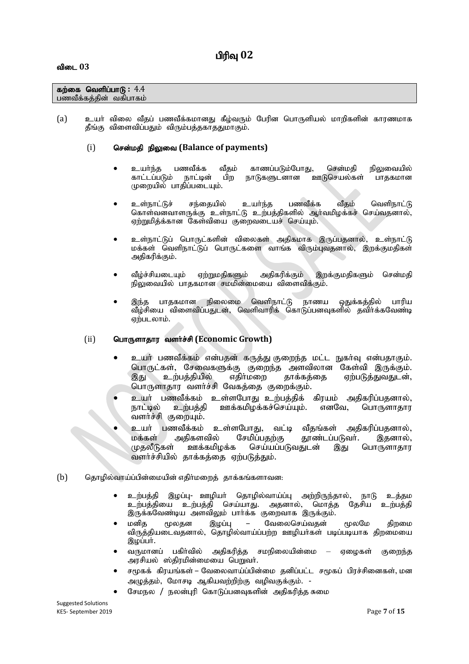## பிரிவு 02

#### **கற்கை வெளிப்பாடு:**  $4.4$ பணவீக்கத்தின் வகிபாகம்

(a) உயர் விலை வீதப் பணவீக்கமானது கீழ்வரும் பேரின பொருளியல் மாறிகளின் காரணமாக தீங்கு விளைவிப்பதும் விரும்பத்தகாததுமாகும்.

#### (i) சென்மதி நிலுவை (Balance of payments)

- உயா்ந்த பணவீக்க வீதம் காணப்படும்போது, சென்மதி நிலுவையில்<br>காட்டப்படும் நாட்டின் பிற நாடுகளுடனான ஊடுசெயல்கள் பாதகமான நாடுகளுடனான ஊடுசெயல்கள் முறையில் பாகிப்படையும்.
- உள்நாட்டுச் சந்தையில் உயர்ந்த பணவீக்க வீகம் வெளிநாட்டு கொள்வனவாளருக்கு உள்நாட்டு உற்பத்திகளில் ஆர்வமிழக்கச் செய்வதனால், ஏற்றுமித்க்கான கேள்வியை குறைவடையச் செய்யும்.
- உள்நாட்டுப் பொருட்களின் விலைகள் அதிகமாக இருப்பதனால், உள்நாட்டு மக்கள் வெளிநாட்டுப் பொருட்களை வாங்க விரும்பவதனால், இறக்குமதிகள் அதிகரிக்கும்.
- வீழ்ச்சியடையும் ஏற்றுமதிகளும் அதிகரிக்கும் இறக்குமதிகளும் சென்மதி நிலுவையில் பாதகமான சமமின்மையை விளைவிக்கும்.
- இந்த பாதகமான நிலைமை வெளிநாட்டு நாணய ஒதுக்கத்தில் பாரிய ்வீழ்சியை விளைவிப்பதுடன், வெளிவாரிக் கொடுப்பனவுகளில் தவிர்க்கவேண்டி ஏற்படலாம்.

#### (ii) பொருளாதார வளர்ச்சி (Economic Growth)

- உயர் பணவீக்கம் என்பதன் கருத்து குறைந்த மட்ட நுகர்வு என்பதாகும். பொருட்கள், சேவைகளுக்கு குறைந்த அளவிலான கேள்வி இருக்கும்.<br>இது உற்பத்தியில் எதிர்மறை தாக்கத்தை ஏற்படுத்துவதுடன், ஏற்படுத்துவதுடன், பொருளாதார வளர்ச்சி வேகத்தை குறைக்கும்.
- உயர் பணவீக்கம் உள்ளபோது உற்பத்திக் கிரயம் அதிகரிப்பதனால்,<br>நாட்டில் உற்பத்தி ஊக்கமிழக்கச்செய்யும். எனவே, பொருளாதார நாட்டில் உற்பத்தி ஊக்கமிழக்கச்செய்யும். எனவே, பொருளாதார வளர்ச்சி குறையும்.
- உயர் பணவீக்கம் உள்ளபோது, வட்டி வீதங்கள் அதிகரிப்பதனால்,<br>மக்கள் அதிகளவில் சேமிப்பதற்கு தூண்டப்படுவர். இதனால், மக்கள் அதிகளவில் சேமிப்பதற்கு தூண்டப்படுவர். இதனால்,<br>முகலீடுகள் ஊக்கமிமக்க செய்யப்படுவகுடன் இகு பொருளாகாா செய்யப்படுவகாடன் இது பொருளாகாா வளர்ச்சியில் தாக்கத்தை ஏற்படுத்தும்.
- $\delta$ ) வெருமில்வாய்ப்பின்மையின் எதிர்மறைத் தாக்கங்களாவன $\epsilon$ 
	- உற்பத்தி இழப்பு- ஊழியா் தொழில்வாய்ப்பு அற்றிருந்தால், நாடு உத்தம உற்பத்தியை உற்பத்தி செய்யாது. அதனால், மொத்த தேசிய உற்பத்தி இருக்கவேண்டிய அளவிலும் பார்க்க குறைவாக இருக்கும்.
	- மனித மூலதன இழப்பு வேலைசெய்வதன் மூலமே திறமை விருத்தியடைவதனால், தொழில்வாய்ப்பற்ற ஊழியாகள் படிப்படியாக திறமையை இழப்பர்.
	- வருமானப் பகிர்வில் அதிகரித்த சமநிலையின்மை ஏழைகள் குறைந்த அரசியல் ஸ்திரமின்மையை பெறுவா்.
	- சமூகக் கிரயங்கள் வேலைவாய்ப்பின்மை தனிப்பட்ட சமூகப் பிரச்சினைகள், மன அழுத்தம், மோசடி ஆகியவற்றிற்கு வழிவகுக்கும். -
	- சேமநல / நலன்புரி கொடுப்பனவுகளின் அதிகரித்த சுமை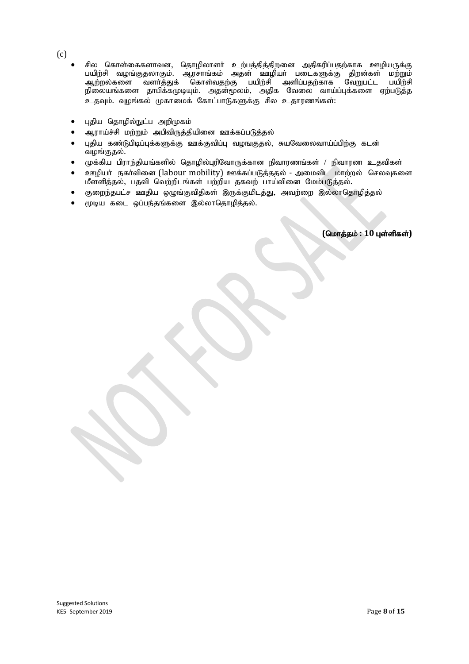- (c)
- சில கொள்கைகளாவன, தொழிலாளா் உற்பத்தித்திறனை அதிகரிப்பதற்காக ஊழியருக்கு பயிற்சி வழங்குதலாகும். ஆரசாங்கம் அதன் ஊழியா் படைகளுக்கு திறன்கள் மற்றும்<br>ஆற்றல்களை வளா்த்துக் கொள்வதற்கு பயிற்சி அளிப்பதற்காக வேறுபட்ட பயிற்சி ் பயிற்சி அளிப்பதற்காக வேறுபட்ட பயிற்சி நிலையங்களை தாபிக்கமுடியும். அதன்முலம், அதிக வேலை வாய்ப்புக்களை ஏற்படுத்த .<br>உதவும். வுழங்கல் முகாமைக் கோட்பாடுகளுக்கு சில உதாரணங்கள்:
- புதிய தொழில்நுட்ப அறிமுகம்
- ஆராய்ச்சி மற்றும் அபிவிருத்தியினை ஊக்கப்படுத்தல்
- $\bullet$  பகிய கண்டுபிடிப்பக்களுக்கு ஊக்குவிப்ப வமஙகுகல், சுயவேலைவாய்ப்பிற்கு கடன் வழங்குதல்.
- $\mu$ க்கிய பிராந்தியங்களில் தொழில்புரிவோருக்கான நிவாரணங்கள் / நிவாரண உதவிகள்
- ஊழியா் நகா்வினை (labour mobility) ஊக்கப்படுத்ததல் அமைவிட மாற்றல் செலவுகளை மீள்ளித்தல், பதவி வெற்றிடங்கள் பற்றிய தகவற் பாய்வினை மேம்படுத்தல்.
- குறைந்தபட்ச ஊதிய ஒழுங்குவிதிகள் இருக்குமிடத்து, அவற்றை இல்லாதொழித்தல்
- $\bullet$  முடிய கடை ஒப்பந்தங்களை இல்லாதொழித்தல்.

 $($ மொத்தம் : 10 புள்ளிகள்)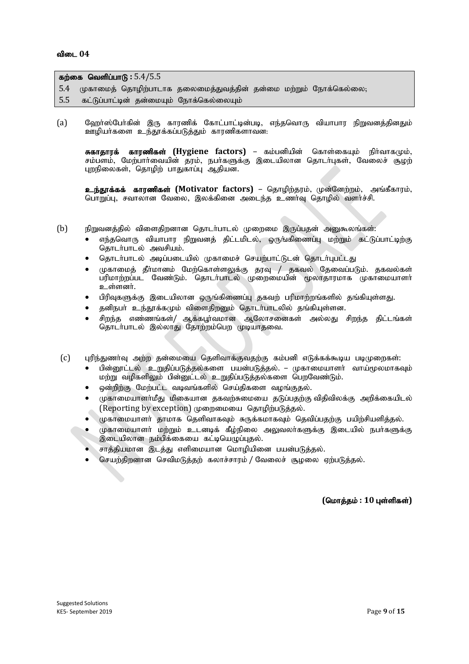| கற்கை வெளிப்பாடு : $5.4/5.5$ |  |  |                                                                     |  |  |
|------------------------------|--|--|---------------------------------------------------------------------|--|--|
|                              |  |  | 5.4 முகாமைத் தொழிற்பாடாக தலைமைத்துவத்தின் தன்மை மற்றும் நோக்கெல்லை, |  |  |
|                              |  |  | 5.5 கட்டுப்பாட்டின் தன்மையும் நோக்கெல்லையும்                        |  |  |

(a) மேறா்ஸ்போ்கின் இரு காரணிக் கோட்பாட்டின்படி, எந்தவொரு வியாபார நிறுவனத்தினதும் ஊழியா்களை உந்தூக்கப்படுத்தும் காரணிகளாவன.

சுகாதாரக் காரணிகள் (Hygiene factors) – கம்பனியின் கொள்கையும் நிர்வாகமும், சம்பளம், மேற்பார்வையின் தரம், நபர்களுக்கு இடையிலான தொடர்புகள், வேலைச் சூழற் புறநிலைகள், தொழிற் பாதுகாப்பு ஆதியன.

**உந்தூக்கக் காரணிகள் (Motivator factors)** – தொழிற்தரம், முன்னேற்றம், அங்கீகாரம், பொறுப்பு, சவாலான வேலை, இலக்கினை அடைந்த உணர்வு தொழில் வளர்ச்சி.

- (b) நிறுவனத்தில் விளைதிறனான தொடர்பாடல் முறைமை இருப்பதன் அனுகூலங்கள்:
	- எந்தவொரு வியாபார நிறுவனத் திட்டமிடல், ஒருங்கிணைப்பு மற்றும் கட்டுப்பாட்டிற்கு தொடர்பாடல் அவசியம்.
	- தொடர்பாடல் அடிப்படையில் முகாமைச் செயற்பாட்டுடன் தொடர்புபட்டது
	- $\bullet$  முகாமைத் தீா்மானம் மேற்கொள்ளலுக்கு தரவு / தகவல் தேவைப்படும். தகவல்கள் பரிமாற்றப்பட வேண்டும். தொடர்பாடல் முறைமையின் மூலாதாரமாக முகாமையாளர்  $\overline{2}$ ்ள்ளனர்.
	- பிரிவுகளுக்கு இடையிலான ஒருங்கிணைப்பு தகவற் பரிமாற்றங்களில் தங்கியுள்ளது.
	- தனிநபர் உந்தூக்கமும் விளைதிறனும் தொடர்பாடலில் தங்கியுள்ளன.
	- சிறந்த எண்ணங்கள்/ ஆக்கபூர்வமான ஆலோசனைகள் அல்லது சிறந்த திட்டங்கள் தொடர்பாடல் இல்லாது தோற்றம்பெற முடியாதவை.
- $(c)$  புரிந்துணர்வு அற்ற தன்மையை தெளிவாக்குவதற்கு கம்பனி எடுக்கக்கூடிய படிமுறைகள்:
	- பின்னூட்டல் உறுதிப்படுத்தல்களை பயன்படுத்தல். முகாமையாளர் வாய்மூலமாகவும் மற்று வழிகளிலும் பின்னுட்டல் உறுதிப்படுத்தல்களை பெறவேண்டும்.
	- ஒன்றிற்கு மேற்பட்ட வடிவங்களில் செய்திகளை வழங்குதல்.
	- $\mu$ காமையாளா்மீது மிகையான தகவற்சுமையை தடுப்பதற்கு விதிவிலக்கு அறிக்கையிடல் (Reporting by exception) முறைமையை தொழிற்படுத்தல்.
	- ருகாமையாளர் காமாக கெளிவாகவம் சுருக்கமாகவம் கெவிப்பகற்கு பயிற்சியளிக்கல்.
	- rமகாமையாளர் மற்றும் உடனடிக் கீழ்நிலை அலுவலர்களுக்கு இடையில் நபர்களுக்கு இடையிலான நம்பிக்கையை கட்டியெழுப்புதல்.
	- சாத்தியமான இடத்து எளிமையான மொழியினை பயன்படுத்தல்.
	- செயற்திறனான செவிமடுத்தற் கலாச்சாரம் / வேலைச் சூழலை ஏற்படுத்தல்.

 $(Gur\ddot{\theta},\ddot{\theta})$ ; 10 புள்ளிகள்)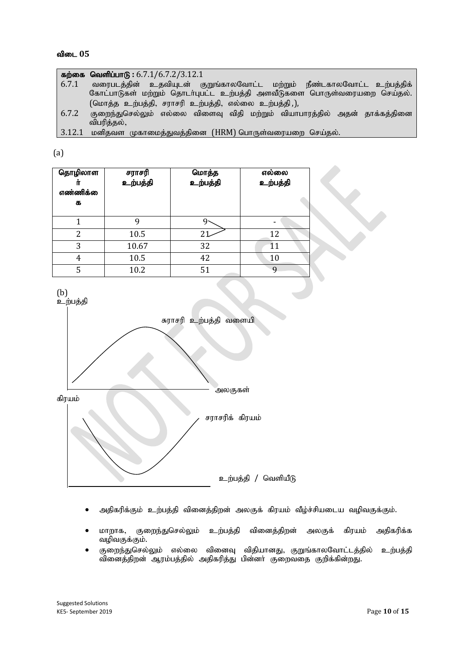|        | கற்கை வெளிப்பாடு: $6.7.1/6.7.2/3.12.1$                                                   |
|--------|------------------------------------------------------------------------------------------|
| 6.7.1  | வரைபடத்தின் உதவியுடன் குறுங்காலவோட்ட மற்றும் நீண்டகாலவோட்ட உற்பத்திக்                    |
|        | கோட்பாடுகள் மற்றும் தொடா்புபட்ட உற்பத்தி அளவீடுகளை பொருள்வரையறை செய்தல்.                 |
|        | (மொத்த உற்பத்தி, சராசரி உற்பத்தி, எல்லை உற்பத்தி,),                                      |
| 6.7.2  | குறைந்துசெல்லும் எல்லை விளைவு விதி மற்றும் வியாபாரத்தில் அதன் தாக்கத்தினை<br>விபரித்தல், |
| 3.12.1 | மனிதவள முகாமைத்துவத்தினை (HRM) பொருள்வரையறை செய்தல்.                                     |

(a)

| தொழிலாள<br>எண்ணிக்<br>க | சராசரி<br>உற்பத்தி | மொத்த<br>உற்பத்தி | எல்லை<br>உற்பத்தி |  |
|-------------------------|--------------------|-------------------|-------------------|--|
|                         | 9                  | Ч.                |                   |  |
| 2                       | 10.5               | 21                | 12                |  |
| 3                       | 10.67              | 32                | 11                |  |
| 4                       | 10.5               | 42                | 10                |  |
| 5                       | 10.2               | 51                | $\mathbf Q$       |  |



- அதிகரிக்கும் உற்பத்தி வினைத்திறன் அலகுக் கிரயம் வீழ்ச்சியடைய வழிவகுக்கும்.
- $\bullet$  மாறாக, குறைந்துசெல்லும் உற்பத்தி வினைத்திறன் அலகுக் கிரயம் அதிகரிக்க வழிவகுக்கும்.
- குறைந்துசெல்லும் எல்லை வினைவு விதியானது, குறுங்காலவோட்டத்தில் உற்பத்தி வினைத்திறன் ஆரம்பத்தில் அதிகரித்து பின்னா் குறைவதை குறிக்கின்றது.

Suggested Solutions KE5- September 2019 Page **10** of **15**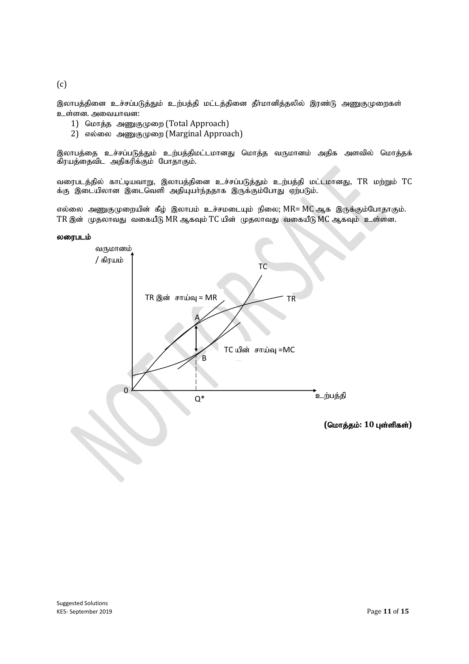$(c)$ 

இலாபத்தினை உச்சப்படுத்தும் உற்பத்தி மட்டத்தினை தீர்மானித்தலில் இரண்டு அணுகுமுறைகள் உள்ளன. அவையாவன:

- 1) மொத்த அணுகுமுறை (Total Approach)
- 2) எல்லை அணுகுமுறை (Marginal Approach)

இலாபத்தை உச்சப்படுத்தும் உற்பத்திமட்டமானது மொத்த வருமானம் அதிக அளவில் மொத்தக் கிரயத்தைவிட அதிகரிக்கும் போதாகும்.

வரைபடத்தில் காட்டியவாறு, இலாபத்தினை உச்சப்படுத்தும் உற்பத்தி மட்டமானது, TR மற்றும் TC க்கு இடையிலான இடைவெளி அதியுயாந்ததாக இருக்கும்போது ஏற்படும்.

எல்லை அணுகுமுறையின் கீழ் இலாபம் உச்சமடையும் நிலை; MR= MC ஆக இருக்கும்போதாகும். TR இன் முதலாவது வகையீடு MR ஆகவும் TC யின் முதலாவது வகையீடு MC ஆகவும் உள்ளன.

#### லரைபடம்

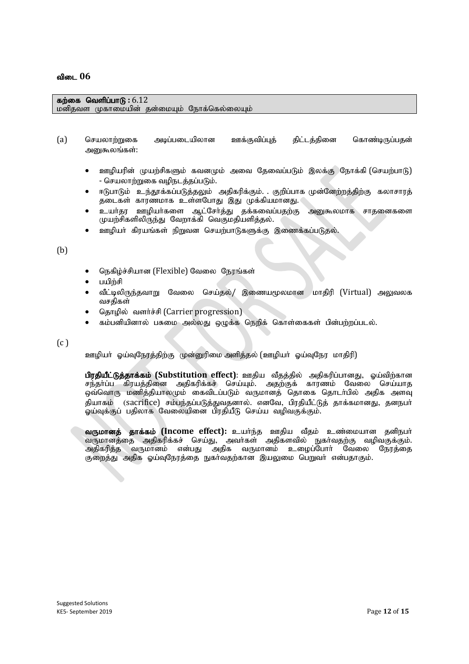#### கற்கை வெளிப்பாடு : 6.12 மனிகவள முகாமையின் கன்மையம் நோக்கெல்லையம்

- (a) செயலாற்றுகை அடிப்படையிலான ஊக்குவிப்புத் திட்டத்தினை கொண்டிருப்பதன் அனுகூலங்கள்:
	- ஊமியரின் முயற்சிகளும் கவனமும் அவை தேவைப்படும் இலக்கு நோக்கி (செயற்பாடு) - செயலாற்றுகை வழிநடத்தப்படும்.
	- ஈடுபாடும் உந்தூக்கப்படுத்தலும் அதிகரிக்கும். குறிப்பாக முன்னேற்றத்திற்கு கலாசாரத் தடைகள் காரணமாக உள்ளபோது இது முக்கியமானது.
	- உயர்தர ஊழியர்களை ஆட்சேர்த்து தக்கவைப்பதற்கு அனுகூலமாக சாதனைகளை முயற்சிகளிலிருந்து வேறாக்கி வெகுமதியளித்தல்.
	- ஊழியா் கிரயங்கள் நிறுவன செயற்பாடுகளுக்கு இணைக்கப்படுதல்.

(b)

- நெகிழ்ச்சியான (Flexible) வேலை நேரங்கள்
- $I = \nabla \cdot \mathbf{E}$
- வீட்டிலிருந்தவாறு வேலை செய்தல்/ இணையமூலமான மாதிரி (Virtual) அலுவலக வசகிகள்
- தொழில் வளர்ச்சி (Carrier progression)
- கம்பனியினால் பசுமை அல்லது ஒழுக்க நெறிக் கொள்கைகள் பின்பற்றப்படல்.

 $(c)$ 

ஊழியர் ஓய்வுநேரத்திற்கு முன்னுரிமை அளித்தல் (ஊழியர் ஓய்வுநேர மாதிரி)

பிரதியீட்டுத்தாக்கம் (Substitution effect): ஊதிய வீதத்தில் அதிகரிப்பானது, ஓய்விற்கான சந்தா்ப்ப கிரயத்தினை அதிகரிக்கச் செய்யும். அதற்குக் காரணம் வேலை செய்யாத ஒவ்வொரு மணித்தியாலமும் கைவிடப்படும் வருமானத் தொகை தொடா்பில் அதிக அளவு கியாகம் (sacrifice) சம்பந்தப்படுத்துவதனால். எனவே, பிரதியீட்டுத் தாக்கமானது, தனநபர் ஓய்வுக்குப் பதிலாக வேலையினை பிரதியீடு செய்ய வழிவகுக்கும்.

வருமானத் தாக்கம் (Income effect): உயர்ந்த ஊதிய வீதம் உண்மையான தனிநபர் வருமானத்தை அதிகரிக்கச் செய்து, அவா்கள் அதிகளவில் நுகா்வதற்கு வழிவகுக்கும்.<br>அதிகரித்த வருமானம் என்பது அதிக வருமானம் உழைப்போா் வேலை நேரத்தை என்பது அதிக வருமானம் உழைப்போர் வேலை குறைத்து அதிக ஓய்வுநேரத்தை நுகர்வதற்கான இயலுமை பெறுவர் என்பதாகும்.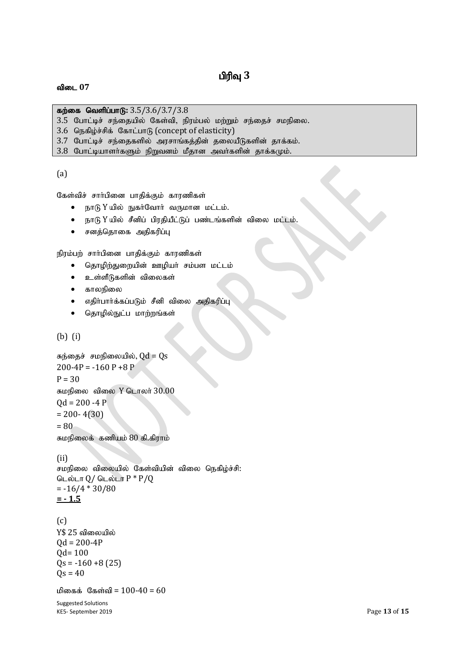## பிரிவு 3

#### விடை 07

**கற்கை வெளிப்பாடு:** 3.5/3.6/3.7/3.8

- $3.5$  போட்டிச் சந்தையில் கேள்வி, நிரம்பல் மற்றும் சந்தைச் சமநிலை.
- 3.6 நெகிழ்ச்சிக் கோட்பாடு (concept of elasticity)
- 3.7 போட்டிச் சந்தைகளில் அரசாங்கத்தின் தலையீடுகளின் தாக்கம்.
- $3.8$  போட்டியாளர்களும் நிறுவனம் மீதான அவர்களின் தாக்கமும்.

(a)

கேள்விச் சார்பினை பாதிக்கும் காரணிகள்

- நாடு  $Y$  யில் நுகர்வோர் வருமான மட்டம்.
- $\bullet$  நாடு  $Y$  யில் சீனிப் பிரதியீட்டுப் பண்டங்களின் விலை மட்டம்.
- சனத்தொகை அதிகரிப்பு

நிரம்பற் சாா்பினை பாதிக்கும் காரணிகள்

- தொழிற்துறையின் ஊழியா் சம்பள மட்டம்
- உள்ளீடுகளின் விலைகள்
- காலநிலை
- எதிா்பாா்க்கப்படும் சீனி விலை அதிகரிப்பு
- தொழில்நுட்ப மாற்றங்கள்

(b) (i)

```
சுந்தைச் சமநிலையில், Qd = Qs200-4P = -160P + 8PP = 30சுமநிலை விலை Y டொலர் 30.00Qd = 200 - 4 P= 200 - 4(30)= 80சுமநிலைக் கணியம் 80 கி.கிராம்
```
(ii)

சமநிலை விலையில் கேள்வியின் விலை நெகிழ்ச்சி: டெல்டா  $Q/$  டெல்டா  $P * P/Q$  $= -16/4 * 30/80$ **= - 1.5**

#### (c)

 $Y$ 25$  விலையில்  $Od = 200-4P$ Qd= 100  $Qs = -160 + 8(25)$  $Qs = 40$ 

மிகைக் கேள்வி =  $100 - 40 = 60$ 

Suggested Solutions KE5- September 2019 **Page 13** of 15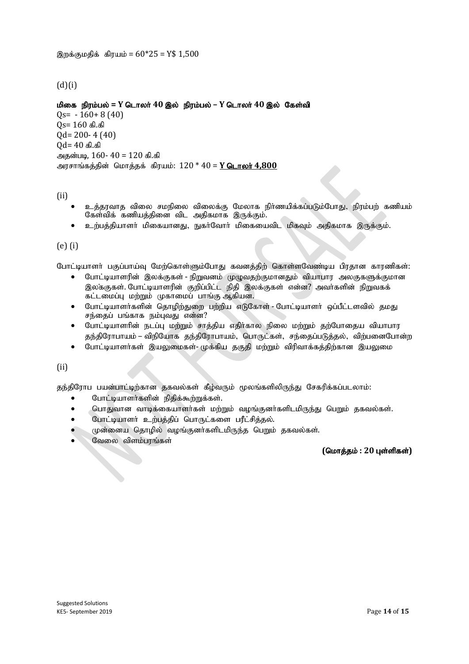#### $(d)(i)$

<u>மிகை நிரம்பல் = Y டொலர் 40 இல்</u> நிரம்பல் – Y டொலர் 40 இல் கேள்வி  $0s = -160+8(40)$  $Qs = 160$  கி.கி Qd= 200- 4 (40)  $Qd = 40$  கி.கி அதன்படி,  $160 - 40 = 120$  கி.கி அரசாங்கத்தின் மொத்தக் கிரயம்: 120 \* 40 = Y டொலர் 4,800

#### (ii)

- உத்தரவாத விலை சமநிலை விலைக்கு மேலாக நிர்ணயிக்கப்படும்போது, நிரம்பற் கணியம் கேள்விக் கணியத்தினை விட அதிகமாக இருக்கும்.
- உற்பத்தியாளர் மிகையானது, நுகர்வோர் மிகையைவிட மிகவும் அதிகமாக இருக்கும்.

#### (e) (i)

போட்டியாளா் பகுப்பாய்வு மேற்கொள்ளும்போது கவனத்திற் கொள்ளவேண்டிய பிரதான காரணிகள்:

- போட்டியாளரின் இலக்குகள் நிறுவனம் முழுவதற்குமானதும் வியாபார அலகுகளுக்குமான இலக்குகள். போட்டியாளரின் குறிப்பிட்ட நிதி இலக்குகள் என்ன? அவர்களின் நிறுவகக் கட்டமைப்பு மற்றும் முகாமைப் பாங்கு ஆகியன.
- போட்டியாளர்களின் தொழிற்துறை பற்றிய எடுகோள் போட்டியாளர் ஒப்பீட்டளவில் தமது சந்தைப் பங்காக நம்புவது என்ன?
- $\bullet$  போட்டியாளரின் நடப்பு மற்றும் சாத்திய எதிர்கால நிலை மற்றும் தற்போதைய வியாபார தந்திரோபாயம் – விநியோக தந்திரோபாயம், பொருட்கள், சந்தைப்படுத்தல், விற்பனைபோன்ற
- $\bullet$  போட்டியாளா்கள் இயலுமைகள்-முக்கிய தகுதி மற்றும் விரிவாக்கத்திற்கான இயலுமை

(ii)

தந்திரோப பயன்பாட்டிற்கான தகவல்கள் கீழ்வரும் மூலங்களிலிருந்து சேகரிக்கப்படலாம்:

- போட்டியாளர்களின் நிதிக்கூற்றுக்கள்.
- $\bullet$  மொதுவான வாடிக்கையாளர்கள் மற்றும் வழங்குனர்களிடமிருந்து பெறும் தகவல்கள்.
- $\bullet$  போட்டியாளா் உற்பத்திப் பொருட்களை பரீட்சித்தல்.
- முன்னைய தொழில் வழங்குனர்களிடமிருந்த பெறும் தகவல்கள்.
- வேலை விளம்பரங்கள்

 $($ மொத்தம் : 20 புள்ளிகள்)